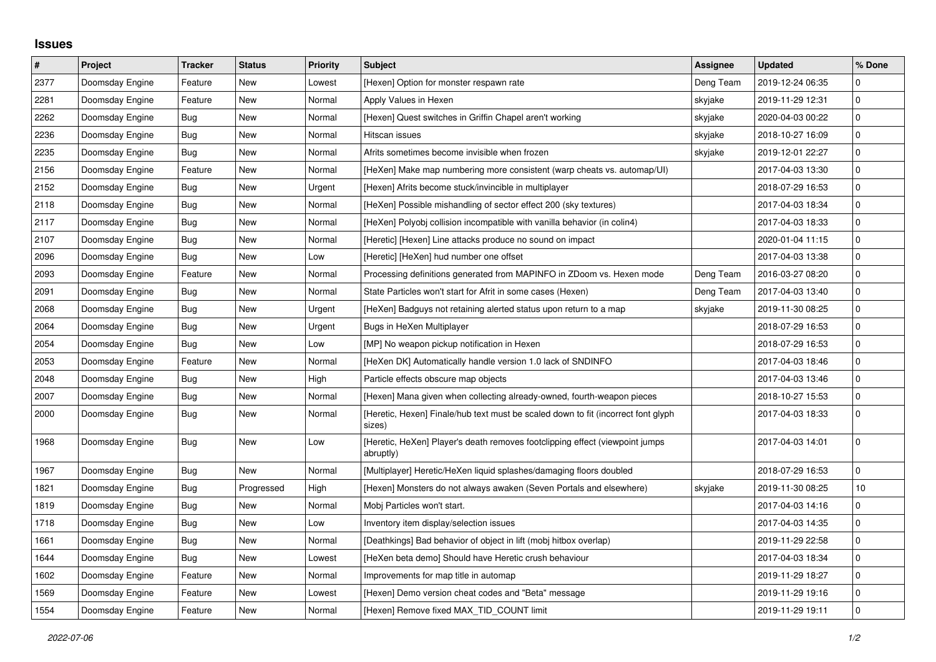## **Issues**

| $\sharp$ | Project         | <b>Tracker</b> | <b>Status</b> | <b>Priority</b> | <b>Subject</b>                                                                              | Assignee  | <b>Updated</b>   | % Done      |
|----------|-----------------|----------------|---------------|-----------------|---------------------------------------------------------------------------------------------|-----------|------------------|-------------|
| 2377     | Doomsday Engine | Feature        | New           | Lowest          | [Hexen] Option for monster respawn rate                                                     | Deng Team | 2019-12-24 06:35 | $\Omega$    |
| 2281     | Doomsday Engine | Feature        | New           | Normal          | Apply Values in Hexen                                                                       | skyjake   | 2019-11-29 12:31 | $\mathbf 0$ |
| 2262     | Doomsday Engine | Bug            | New           | Normal          | [Hexen] Quest switches in Griffin Chapel aren't working                                     | skyjake   | 2020-04-03 00:22 | $\mathbf 0$ |
| 2236     | Doomsday Engine | Bug            | New           | Normal          | Hitscan issues                                                                              | skyjake   | 2018-10-27 16:09 | $\mathbf 0$ |
| 2235     | Doomsday Engine | <b>Bug</b>     | New           | Normal          | Afrits sometimes become invisible when frozen                                               | skyjake   | 2019-12-01 22:27 | $\pmb{0}$   |
| 2156     | Doomsday Engine | Feature        | New           | Normal          | [HeXen] Make map numbering more consistent (warp cheats vs. automap/UI)                     |           | 2017-04-03 13:30 | $\mathbf 0$ |
| 2152     | Doomsday Engine | <b>Bug</b>     | New           | Urgent          | [Hexen] Afrits become stuck/invincible in multiplayer                                       |           | 2018-07-29 16:53 | $\mathbf 0$ |
| 2118     | Doomsday Engine | Bug            | New           | Normal          | [HeXen] Possible mishandling of sector effect 200 (sky textures)                            |           | 2017-04-03 18:34 | $\mathbf 0$ |
| 2117     | Doomsday Engine | Bug            | New           | Normal          | [HeXen] Polyobj collision incompatible with vanilla behavior (in colin4)                    |           | 2017-04-03 18:33 | $\mathbf 0$ |
| 2107     | Doomsday Engine | Bug            | New           | Normal          | [Heretic] [Hexen] Line attacks produce no sound on impact                                   |           | 2020-01-04 11:15 | $\mathbf 0$ |
| 2096     | Doomsday Engine | <b>Bug</b>     | New           | Low             | [Heretic] [HeXen] hud number one offset                                                     |           | 2017-04-03 13:38 | $\mathbf 0$ |
| 2093     | Doomsday Engine | Feature        | New           | Normal          | Processing definitions generated from MAPINFO in ZDoom vs. Hexen mode                       | Deng Team | 2016-03-27 08:20 | $\mathbf 0$ |
| 2091     | Doomsday Engine | <b>Bug</b>     | New           | Normal          | State Particles won't start for Afrit in some cases (Hexen)                                 | Deng Team | 2017-04-03 13:40 | $\mathbf 0$ |
| 2068     | Doomsday Engine | Bug            | New           | Urgent          | [HeXen] Badguys not retaining alerted status upon return to a map                           | skyjake   | 2019-11-30 08:25 | $\mathbf 0$ |
| 2064     | Doomsday Engine | <b>Bug</b>     | New           | Urgent          | Bugs in HeXen Multiplayer                                                                   |           | 2018-07-29 16:53 | $\mathbf 0$ |
| 2054     | Doomsday Engine | <b>Bug</b>     | New           | Low             | [MP] No weapon pickup notification in Hexen                                                 |           | 2018-07-29 16:53 | $\mathbf 0$ |
| 2053     | Doomsday Engine | Feature        | New           | Normal          | [HeXen DK] Automatically handle version 1.0 lack of SNDINFO                                 |           | 2017-04-03 18:46 | $\mathbf 0$ |
| 2048     | Doomsday Engine | Bug            | New           | High            | Particle effects obscure map objects                                                        |           | 2017-04-03 13:46 | $\mathbf 0$ |
| 2007     | Doomsday Engine | Bug            | New           | Normal          | [Hexen] Mana given when collecting already-owned, fourth-weapon pieces                      |           | 2018-10-27 15:53 | $\mathbf 0$ |
| 2000     | Doomsday Engine | Bug            | New           | Normal          | [Heretic, Hexen] Finale/hub text must be scaled down to fit (incorrect font glyph<br>sizes) |           | 2017-04-03 18:33 | $\mathbf 0$ |
| 1968     | Doomsday Engine | <b>Bug</b>     | New           | Low             | [Heretic, HeXen] Player's death removes footclipping effect (viewpoint jumps<br>abruptly)   |           | 2017-04-03 14:01 | $\mathbf 0$ |
| 1967     | Doomsday Engine | <b>Bug</b>     | New           | Normal          | [Multiplayer] Heretic/HeXen liquid splashes/damaging floors doubled                         |           | 2018-07-29 16:53 | $\mathbf 0$ |
| 1821     | Doomsday Engine | Bug            | Progressed    | High            | [Hexen] Monsters do not always awaken (Seven Portals and elsewhere)                         | skyjake   | 2019-11-30 08:25 | 10          |
| 1819     | Doomsday Engine | <b>Bug</b>     | New           | Normal          | Mobj Particles won't start.                                                                 |           | 2017-04-03 14:16 | $\mathbf 0$ |
| 1718     | Doomsday Engine | <b>Bug</b>     | New           | Low             | Inventory item display/selection issues                                                     |           | 2017-04-03 14:35 | $\mathbf 0$ |
| 1661     | Doomsday Engine | Bug            | New           | Normal          | [Deathkings] Bad behavior of object in lift (mobj hitbox overlap)                           |           | 2019-11-29 22:58 | $\mathbf 0$ |
| 1644     | Doomsday Engine | Bug            | New           | Lowest          | [HeXen beta demo] Should have Heretic crush behaviour                                       |           | 2017-04-03 18:34 | $\mathbf 0$ |
| 1602     | Doomsday Engine | Feature        | New           | Normal          | Improvements for map title in automap                                                       |           | 2019-11-29 18:27 | $\mathbf 0$ |
| 1569     | Doomsday Engine | Feature        | New           | Lowest          | [Hexen] Demo version cheat codes and "Beta" message                                         |           | 2019-11-29 19:16 | $\pmb{0}$   |
| 1554     | Doomsday Engine | Feature        | New           | Normal          | [Hexen] Remove fixed MAX TID COUNT limit                                                    |           | 2019-11-29 19:11 | $\mathbf 0$ |